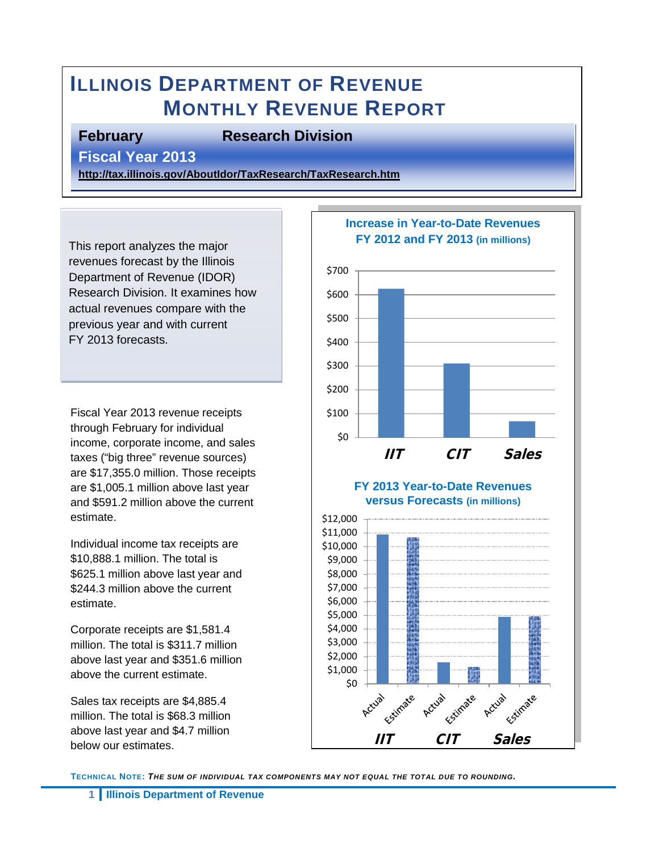# **ILLINOIS DEPARTMENT OF REVENUE MONTHLY REVENUE REPORT**

#### **February Research Division**

**Fiscal Year 2013** 

**<http://tax.illinois.gov/AboutIdor/TaxResearch/TaxResearch.htm>**

This report analyzes the major revenues forecast by the Illinois Department of Revenue (IDOR) Research Division. It examines how actual revenues compare with the previous year and with current FY 2013 forecasts.

Fiscal Year 2013 revenue receipts through February for individual income, corporate income, and sales taxes ("big three" revenue sources) are \$17,355.0 million. Those receipts are \$1,005.1 million above last year and \$591.2 million above the current estimate.

Individual income tax receipts are \$10,888.1 million. The total is \$625.1 million above last year and \$244.3 million above the current estimate.

Corporate receipts are \$1,581.4 million. The total is \$311.7 million above last year and \$351.6 million above the current estimate.

Sales tax receipts are \$4,885.4 million. The total is \$68.3 million above last year and \$4.7 million below our estimates.



**TECHNICAL NOTE:** *THE SUM OF INDIVIDUAL TAX COMPONENTS MAY NOT EQUAL THE TOTAL DUE TO ROUNDING.*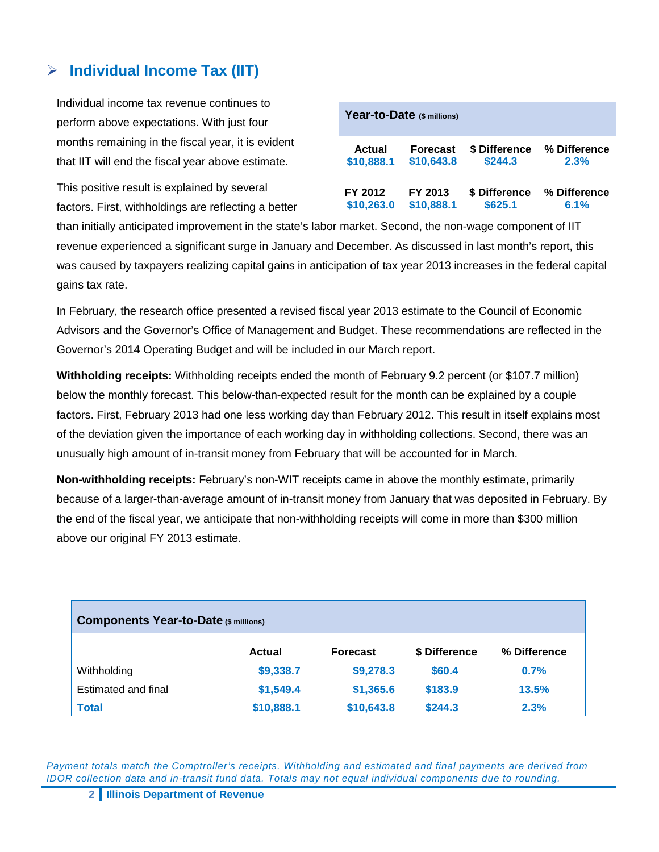#### **Individual Income Tax (IIT)**

Individual income tax revenue continues to perform above expectations. With just four months remaining in the fiscal year, it is evident that IIT will end the fiscal year above estimate.

This positive result is explained by several factors. First, withholdings are reflecting a better

| Year-to-Date (\$ millions)                            |                       |                          |                      |  |  |  |
|-------------------------------------------------------|-----------------------|--------------------------|----------------------|--|--|--|
| Actual<br><b>Forecast</b><br>\$10,888.1<br>\$10,643.8 |                       | \$ Difference<br>\$244.3 | % Difference<br>2.3% |  |  |  |
| FY 2012<br>\$10,263.0                                 | FY 2013<br>\$10,888.1 | \$ Difference<br>\$625.1 | % Difference<br>6.1% |  |  |  |

than initially anticipated improvement in the state's labor market. Second, the non-wage component of IIT revenue experienced a significant surge in January and December. As discussed in last month's report, this was caused by taxpayers realizing capital gains in anticipation of tax year 2013 increases in the federal capital gains tax rate.

In February, the research office presented a revised fiscal year 2013 estimate to the Council of Economic Advisors and the Governor's Office of Management and Budget. These recommendations are reflected in the Governor's 2014 Operating Budget and will be included in our March report.

**Withholding receipts:** Withholding receipts ended the month of February 9.2 percent (or \$107.7 million) below the monthly forecast. This below-than-expected result for the month can be explained by a couple factors. First, February 2013 had one less working day than February 2012. This result in itself explains most of the deviation given the importance of each working day in withholding collections. Second, there was an unusually high amount of in-transit money from February that will be accounted for in March.

**Non-withholding receipts:** February's non-WIT receipts came in above the monthly estimate, primarily because of a larger-than-average amount of in-transit money from January that was deposited in February. By the end of the fiscal year, we anticipate that non-withholding receipts will come in more than \$300 million above our original FY 2013 estimate.

| <b>Components Year-to-Date (\$ millions)</b> |               |                 |               |              |  |  |
|----------------------------------------------|---------------|-----------------|---------------|--------------|--|--|
|                                              | <b>Actual</b> | <b>Forecast</b> | \$ Difference | % Difference |  |  |
| Withholding                                  | \$9,338.7     | \$9,278.3       | \$60.4        | 0.7%         |  |  |
| Estimated and final                          | \$1,549.4     | \$1,365.6       | \$183.9       | 13.5%        |  |  |
| <b>Total</b>                                 | \$10,888.1    | \$10,643.8      | \$244.3       | 2.3%         |  |  |

*Payment totals match the Comptroller's receipts. Withholding and estimated and final payments are derived from IDOR collection data and in-transit fund data. Totals may not equal individual components due to rounding.*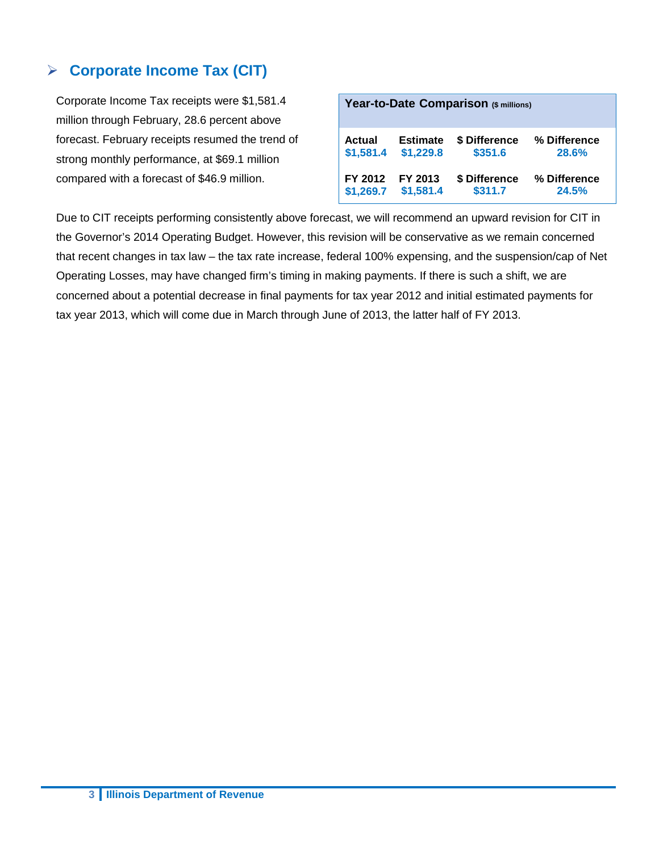#### **Corporate Income Tax (CIT)**

Corporate Income Tax receipts were \$1,581.4 million through February, 28.6 percent above forecast. February receipts resumed the trend of strong monthly performance, at \$69.1 million compared with a forecast of \$46.9 million.

| Year-to-Date Comparison (\$ millions) |                 |               |              |  |  |  |
|---------------------------------------|-----------------|---------------|--------------|--|--|--|
| Actual                                | <b>Estimate</b> | \$ Difference | % Difference |  |  |  |
| \$1,581.4                             | \$1,229.8       | \$351.6       | 28.6%        |  |  |  |
| FY 2012                               | FY 2013         | \$ Difference | % Difference |  |  |  |
| \$1,269.7                             | \$1,581.4       | \$311.7       | 24.5%        |  |  |  |

Due to CIT receipts performing consistently above forecast, we will recommend an upward revision for CIT in the Governor's 2014 Operating Budget. However, this revision will be conservative as we remain concerned that recent changes in tax law – the tax rate increase, federal 100% expensing, and the suspension/cap of Net Operating Losses, may have changed firm's timing in making payments. If there is such a shift, we are concerned about a potential decrease in final payments for tax year 2012 and initial estimated payments for tax year 2013, which will come due in March through June of 2013, the latter half of FY 2013.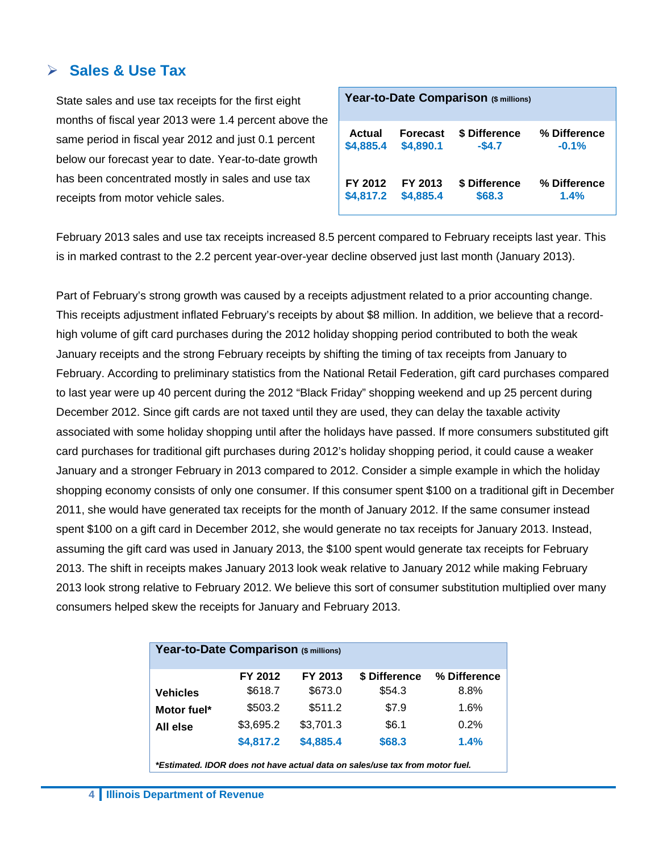#### **Sales & Use Tax**

State sales and use tax receipts for the first eight months of fiscal year 2013 were 1.4 percent above the same period in fiscal year 2012 and just 0.1 percent below our forecast year to date. Year-to-date growth has been concentrated mostly in sales and use tax receipts from motor vehicle sales.

| Year-to-Date Comparison (\$ millions) |                 |               |              |  |  |  |
|---------------------------------------|-----------------|---------------|--------------|--|--|--|
| Actual                                | <b>Forecast</b> | \$ Difference | % Difference |  |  |  |
| \$4,885.4                             | \$4,890.1       | $-$4.7$       | $-0.1%$      |  |  |  |
| FY 2012                               | FY 2013         | \$ Difference | % Difference |  |  |  |
| \$4,817.2                             | \$4,885.4       | \$68.3        | 1.4%         |  |  |  |

February 2013 sales and use tax receipts increased 8.5 percent compared to February receipts last year. This is in marked contrast to the 2.2 percent year-over-year decline observed just last month (January 2013).

Part of February's strong growth was caused by a receipts adjustment related to a prior accounting change. This receipts adjustment inflated February's receipts by about \$8 million. In addition, we believe that a recordhigh volume of gift card purchases during the 2012 holiday shopping period contributed to both the weak January receipts and the strong February receipts by shifting the timing of tax receipts from January to February. According to preliminary statistics from the National Retail Federation, gift card purchases compared to last year were up 40 percent during the 2012 "Black Friday" shopping weekend and up 25 percent during December 2012. Since gift cards are not taxed until they are used, they can delay the taxable activity associated with some holiday shopping until after the holidays have passed. If more consumers substituted gift card purchases for traditional gift purchases during 2012's holiday shopping period, it could cause a weaker January and a stronger February in 2013 compared to 2012. Consider a simple example in which the holiday shopping economy consists of only one consumer. If this consumer spent \$100 on a traditional gift in December 2011, she would have generated tax receipts for the month of January 2012. If the same consumer instead spent \$100 on a gift card in December 2012, she would generate no tax receipts for January 2013. Instead, assuming the gift card was used in January 2013, the \$100 spent would generate tax receipts for February 2013. The shift in receipts makes January 2013 look weak relative to January 2012 while making February 2013 look strong relative to February 2012. We believe this sort of consumer substitution multiplied over many consumers helped skew the receipts for January and February 2013.

| Year-to-Date Comparison (\$ millions)                                        |           |           |               |              |  |  |  |
|------------------------------------------------------------------------------|-----------|-----------|---------------|--------------|--|--|--|
|                                                                              | FY 2012   | FY 2013   | \$ Difference | % Difference |  |  |  |
| <b>Vehicles</b>                                                              | \$618.7   | \$673.0   | \$54.3        | 8.8%         |  |  |  |
| Motor fuel*                                                                  | \$503.2   | \$511.2   | \$7.9         | 1.6%         |  |  |  |
| All else                                                                     | \$3,695.2 | \$3,701.3 | \$6.1         | 0.2%         |  |  |  |
|                                                                              | \$4,817.2 | \$4,885.4 | \$68.3        | 1.4%         |  |  |  |
| *Estimated. IDOR does not have actual data on sales/use tax from motor fuel. |           |           |               |              |  |  |  |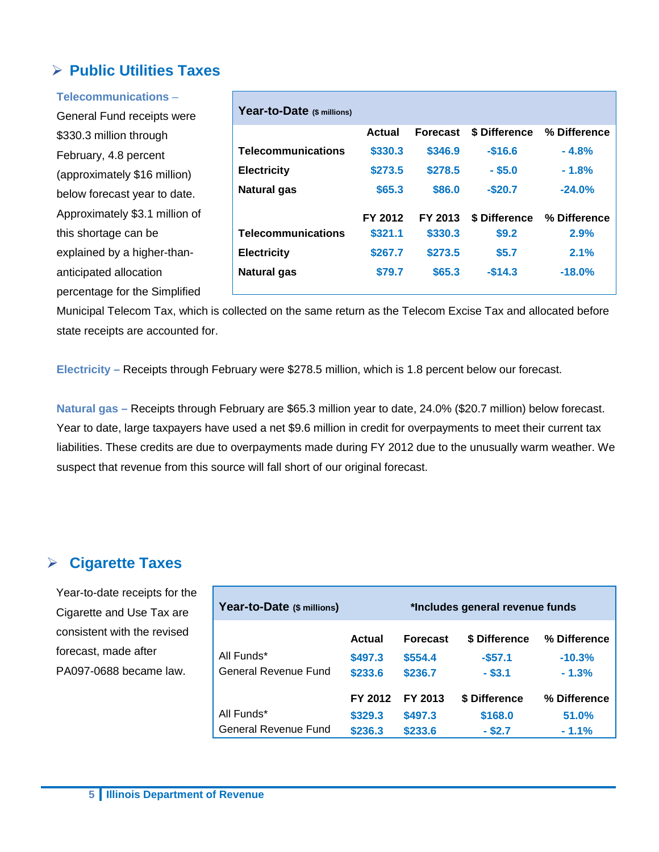#### **Public Utilities Taxes**

| Telecommunications-            |                            |               |                 |               |              |
|--------------------------------|----------------------------|---------------|-----------------|---------------|--------------|
| General Fund receipts were     | Year-to-Date (\$ millions) |               |                 |               |              |
| \$330.3 million through        |                            | <b>Actual</b> | <b>Forecast</b> | \$ Difference | % Difference |
| February, 4.8 percent          | <b>Telecommunications</b>  | \$330.3       | \$346.9         | $-$16.6$      | $-4.8%$      |
| (approximately \$16 million)   | <b>Electricity</b>         | \$273.5       | \$278.5         | $-$ \$5.0     | $-1.8%$      |
| below forecast year to date.   | <b>Natural gas</b>         | \$65.3        | \$86.0          | $-$20.7$      | $-24.0%$     |
| Approximately \$3.1 million of |                            | FY 2012       | FY 2013         | \$ Difference | % Difference |
| this shortage can be           | <b>Telecommunications</b>  | \$321.1       | \$330.3         | \$9.2         | 2.9%         |
| explained by a higher-than-    | <b>Electricity</b>         | \$267.7       | \$273.5         | \$5.7         | 2.1%         |
| anticipated allocation         | <b>Natural gas</b>         | \$79.7        | \$65.3          | $-$14.3$      | $-18.0%$     |
| percentage for the Simplified  |                            |               |                 |               |              |

Municipal Telecom Tax, which is collected on the same return as the Telecom Excise Tax and allocated before state receipts are accounted for.

**Electricity –** Receipts through February were \$278.5 million, which is 1.8 percent below our forecast.

**Natural gas –** Receipts through February are \$65.3 million year to date, 24.0% (\$20.7 million) below forecast. Year to date, large taxpayers have used a net \$9.6 million in credit for overpayments to meet their current tax liabilities. These credits are due to overpayments made during FY 2012 due to the unusually warm weather. We suspect that revenue from this source will fall short of our original forecast.

#### **Cigarette Taxes**

Year-to-date receipts for the Cigarette and Use Tax are consistent with the revised forecast, made after PA097-0688 became law.

| Year-to-Date (\$ millions)  |         | *Includes general revenue funds |               |              |  |  |
|-----------------------------|---------|---------------------------------|---------------|--------------|--|--|
|                             | Actual  | <b>Forecast</b>                 | \$ Difference | % Difference |  |  |
| All Funds*                  | \$497.3 | \$554.4                         | $-557.1$      | $-10.3%$     |  |  |
| General Revenue Fund        | \$233.6 | \$236.7                         | $-$ \$3.1     | $-1.3%$      |  |  |
|                             | FY 2012 | FY 2013                         | \$ Difference | % Difference |  |  |
| All Funds*                  | \$329.3 | \$497.3                         | \$168.0       | 51.0%        |  |  |
| <b>General Revenue Fund</b> | \$236.3 | \$233.6                         | $-$ \$2.7     | $-1.1%$      |  |  |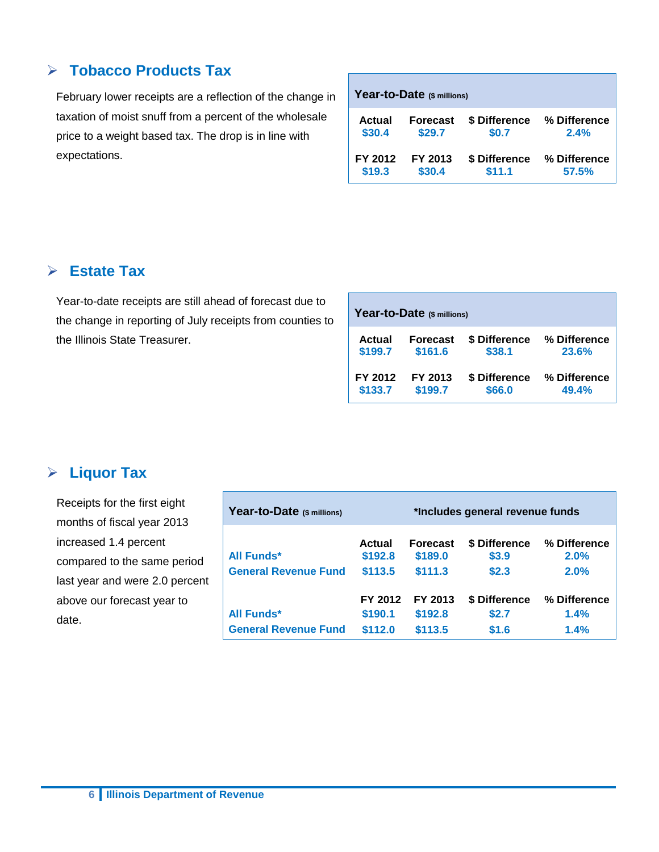#### **Tobacco Products Tax**

February lower receipts are a reflection of the change in taxation of moist snuff from a percent of the wholesale price to a weight based tax. The drop is in line with expectations.

| Year-to-Date (\$ millions) |                 |               |              |  |  |  |
|----------------------------|-----------------|---------------|--------------|--|--|--|
| Actual                     | <b>Forecast</b> | \$ Difference | % Difference |  |  |  |
| \$30.4                     | \$29.7          | \$0.7         | 2.4%         |  |  |  |
| FY 2012                    | FY 2013         | \$ Difference | % Difference |  |  |  |
| \$19.3                     | \$30.4          | \$11.1        | 57.5%        |  |  |  |

#### **Estate Tax**

Year-to-date receipts are still ahead of forecast due to the change in reporting of July receipts from counties to the Illinois State Treasurer.

| Year-to-Date (\$ millions) |                 |               |              |  |  |  |
|----------------------------|-----------------|---------------|--------------|--|--|--|
| Actual                     | <b>Forecast</b> | \$ Difference | % Difference |  |  |  |
| \$199.7                    | \$161.6         | \$38.1        | 23.6%        |  |  |  |
| FY 2012                    | FY 2013         | \$ Difference | % Difference |  |  |  |
| \$133.7                    | \$199.7         | \$66.0        | 49.4%        |  |  |  |

#### **Liquor Tax**

Receipts for the first eight months of fiscal year 2013 increased 1.4 percent compared to the same period last year and were 2.0 percent above our forecast year to date.

| Year-to-Date (\$ millions)                | *Includes general revenue funds |                            |                        |                      |  |
|-------------------------------------------|---------------------------------|----------------------------|------------------------|----------------------|--|
| All Funds*<br><b>General Revenue Fund</b> | Actual<br>\$192.8               | <b>Forecast</b><br>\$189.0 | \$ Difference<br>\$3.9 | % Difference<br>2.0% |  |
|                                           | \$113.5<br>FY 2012              | \$111.3<br>FY 2013         | \$2.3<br>\$ Difference | 2.0%<br>% Difference |  |
| All Funds*                                | \$190.1                         | \$192.8                    | \$2.7                  | 1.4%                 |  |
| <b>General Revenue Fund</b>               | \$112.0                         | \$113.5                    | \$1.6                  | 1.4%                 |  |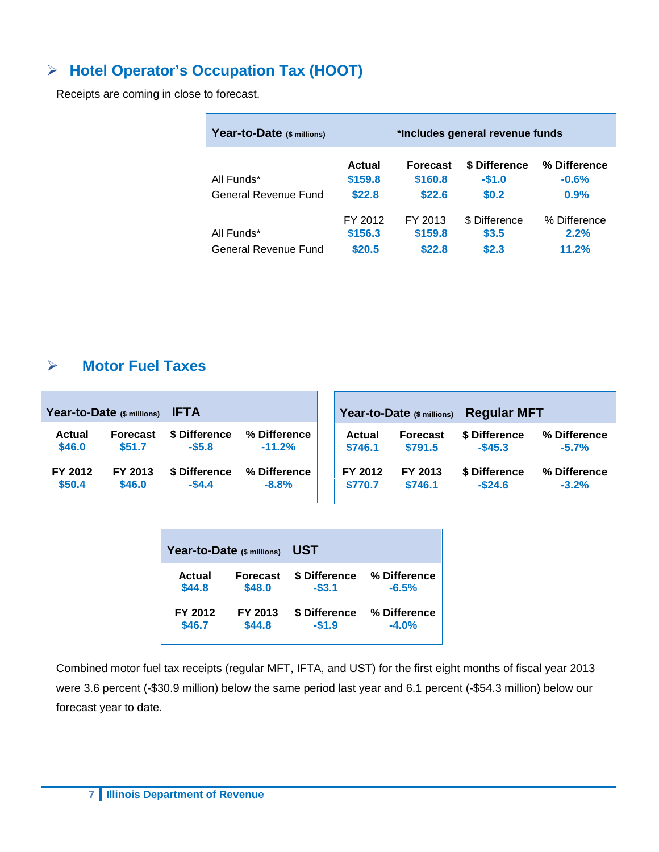### **Hotel Operator's Occupation Tax (HOOT)**

Receipts are coming in close to forecast.

| Year-to-Date (\$ millions)         | *Includes general revenue funds |                                      |                                   |                                 |  |  |
|------------------------------------|---------------------------------|--------------------------------------|-----------------------------------|---------------------------------|--|--|
| All Funds*<br>General Revenue Fund | Actual<br>\$159.8<br>\$22.8     | <b>Forecast</b><br>\$160.8<br>\$22.6 | \$ Difference<br>$-$1.0$<br>\$0.2 | % Difference<br>$-0.6%$<br>0.9% |  |  |
| All Funds*<br>General Revenue Fund | FY 2012<br>\$156.3<br>\$20.5    | FY 2013<br>\$159.8<br>\$22.8         | \$ Difference<br>\$3.5<br>\$2.3   | % Difference<br>2.2%<br>11.2%   |  |  |

#### **Motor Fuel Taxes**

|               | Year-to-Date (\$ millions) | <b>IFTA</b>   |              |               | Year-to-Date (\$ millions) | <b>Regular MFT</b> |              |
|---------------|----------------------------|---------------|--------------|---------------|----------------------------|--------------------|--------------|
| <b>Actual</b> | <b>Forecast</b>            | \$ Difference | % Difference | <b>Actual</b> | <b>Forecast</b>            | \$ Difference      | % Difference |
| \$46.0        | \$51.7                     | $-$5.8$       | $-11.2%$     | \$746.1       | \$791.5                    | $-$45.3$           | $-5.7%$      |
| FY 2012       | FY 2013                    | \$ Difference | % Difference | FY 2012       | FY 2013                    | \$ Difference      | % Difference |
| \$50.4        | \$46.0                     | $-$4.4$       | $-8.8%$      | \$770.7       | \$746.1                    | $-$ \$24.6         | $-3.2%$      |

| Year-to-Date (\$ millions) |                 | UST           |              |  |  |  |  |  |
|----------------------------|-----------------|---------------|--------------|--|--|--|--|--|
| Actual                     | <b>Forecast</b> | \$ Difference | % Difference |  |  |  |  |  |
| \$44.8                     | \$48.0          | $-53.1$       | $-6.5%$      |  |  |  |  |  |
| FY 2012                    | FY 2013         | \$ Difference | % Difference |  |  |  |  |  |
| \$46.7                     | \$44.8          | $-$1.9$       | $-4.0%$      |  |  |  |  |  |

Combined motor fuel tax receipts (regular MFT, IFTA, and UST) for the first eight months of fiscal year 2013 were 3.6 percent (-\$30.9 million) below the same period last year and 6.1 percent (-\$54.3 million) below our forecast year to date.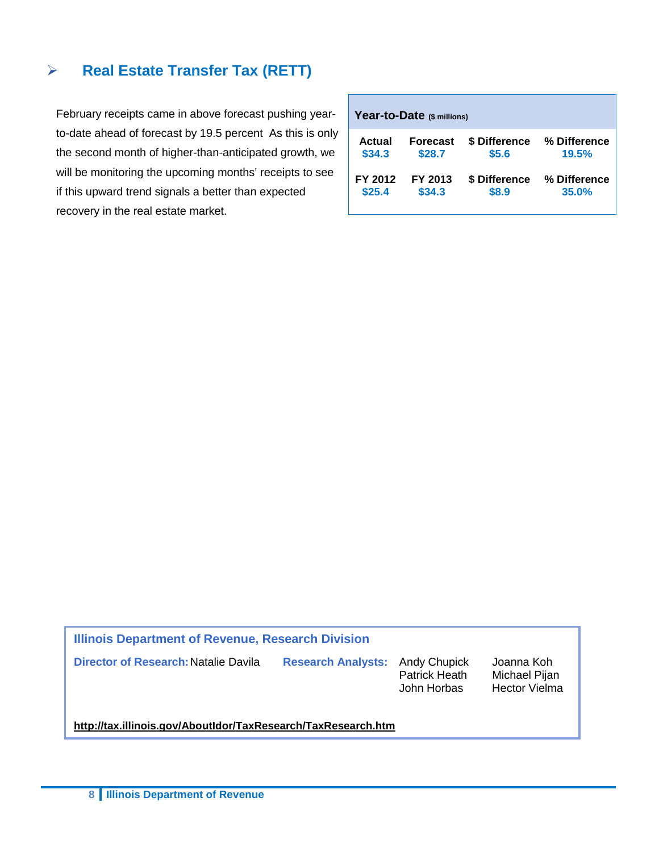#### **Real Estate Transfer Tax (RETT)**

February receipts came in above forecast pushing yearto-date ahead of forecast by 19.5 percent As this is only the second month of higher-than-anticipated growth, we will be monitoring the upcoming months' receipts to see if this upward trend signals a better than expected recovery in the real estate market.

| Year-to-Date (\$ millions) |                 |               |              |  |  |  |  |  |  |  |
|----------------------------|-----------------|---------------|--------------|--|--|--|--|--|--|--|
| Actual                     | <b>Forecast</b> | \$ Difference | % Difference |  |  |  |  |  |  |  |
| \$34.3                     | \$28.7          | \$5.6         | 19.5%        |  |  |  |  |  |  |  |
| FY 2012                    | FY 2013         | \$ Difference | % Difference |  |  |  |  |  |  |  |
| \$25.4                     | \$34.3          | \$8.9         | 35.0%        |  |  |  |  |  |  |  |

**Illinois Department of Revenue, Research Division Director of Research:**Natalie Davila **Research Analysts:** Andy Chupick Joanna Koh Patrick Heath<br>John Horbas Hector Vielma **<http://tax.illinois.gov/AboutIdor/TaxResearch/TaxResearch.htm>**